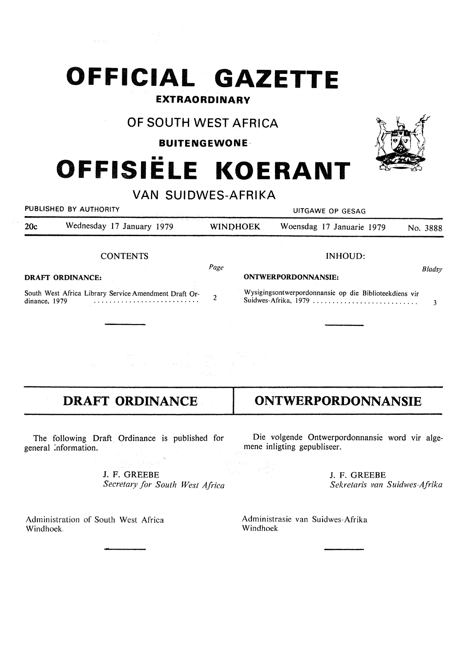## **OFFICIAL GAZETTE**

### **EXTRAORDINARY**

## **OF SOUTH WEST AFRICA**

### **BUITENGEWONE·**

# **OFFISIELE KOERANT**

**VAN SUIDWES-AFRIKA** 

PUBLISHED BY AUTHORITY **EXECUTE A SECOND TEST OF SECOND PUBLISHED** BY AUTHORITY 20c Wednesday 17 January 1979 WINOHOEK Woensdag 17 Januarie 1979 No. 3888

#### **CONTENTS**

**DRAFT ORDINANCE:** 

South West Africa Library Service Amendment Draft Ordinance, 1979 dinance, 1979 ..... • • • • • • • • • • • • · · · · · · · · · · 2

 $\begin{split} \mathbb{R}^{4}\mathbb{R}^{3} &\longrightarrow \mathbb{R}^{4}\mathbb{R}^{4}\mathbb{R}^{4}\mathbb{R}^{4}\mathbb{R}^{4} \mathbb{R}^{4} \mathbb{R}^{4} \mathbb{R}^{4} \mathbb{R}^{4} \mathbb{R}^{4} \mathbb{R}^{4} \mathbb{R}^{4} \mathbb{R}^{4} \mathbb{R}^{4} \mathbb{R}^{4} \mathbb{R}^{4} \mathbb{R}^{4} \mathbb{R}^{4} \mathbb{R}^{4} \mathbb{R}^{4} \mathbb{R}^{4} \mathbb{R}^{4} \$ 

## **DRAFT ORDINANCE**

The following Draft Ordinance is published for general :nformation.

> J. F. GREEBE *Secretary for South West Africa*

Administration of South West Africa Windhoek.

Die volgende Ontwerpordonnansie word vir algemene inligting gepubliseer.

> J. F. GREEBE *Sekretaris van Suidwes-Afrika*

Administrasie van Suidwes-Afrika Windhoek



## **ONTWERPORDONNANSIE**

**ONTWERPORDONNANSIE:** 

INHOUD:

Wysigingsontwerpordonnansie op die Biblioteekdiens vir Suidwes-Afrika, 1979 .......................... . 3

*Bladsy*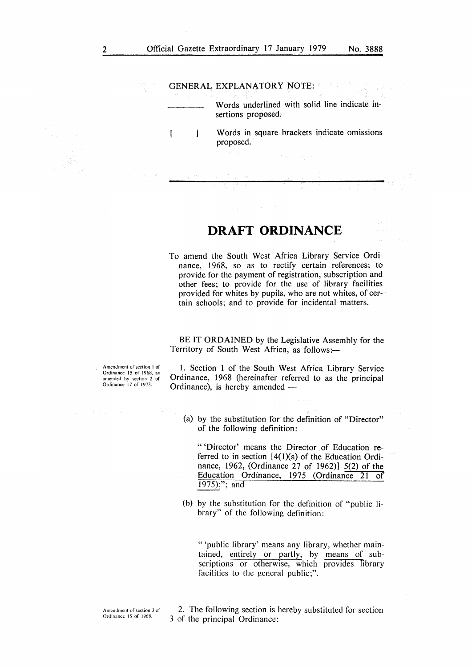#### GENERAL EXPLANATORY NOTE:

ſ

Words underlined with solid line indicate insertions proposed.

Words in square brackets indicate omissions  $\mathbf{1}$ proposed.

## **DRAFT ORDINANCE**

To amend the South West Africa Library Service Ordinance, 1968, so as to rectify certain references; to provide for the payment of registration, subscription and other fees; to provide for the use of library facilities provided for whites by pupils, who are not whites, of certain schools; and to provide for incidental matters.

BE IT ORDAINED by the Legislative Assembly for the Territory of South West Africa, as follows:-

Amendment of section I of Ordinance 15 of 1968, as amended by section 2 of Ordinance 17 of 1973.

1. Section l of the South West Africa Library Service Ordinance, 1968 (hereinafter referred to as the principal Ordinance), is hereby amended -

(a) by the substitution for the definition of "Director" of the following definition:

" 'Director' means the Director of Education referred to in section  $[4(1)(a)$  of the Education Ordinance, 1962, (Ordinance 27 of 1962)] 5(2) of the Education Ordinance, 1975 (Ordinance 21 of 1975);"; and

(b) by the substitution for the definition of "public library" of the following definition:

" 'public library' means any library, whether maintained, entirely or partly, by means of subscriptions or otherwise, which provides library facilities to the general public;".

2. The following section is hereby substituted for section 3 of the principal Ordinance: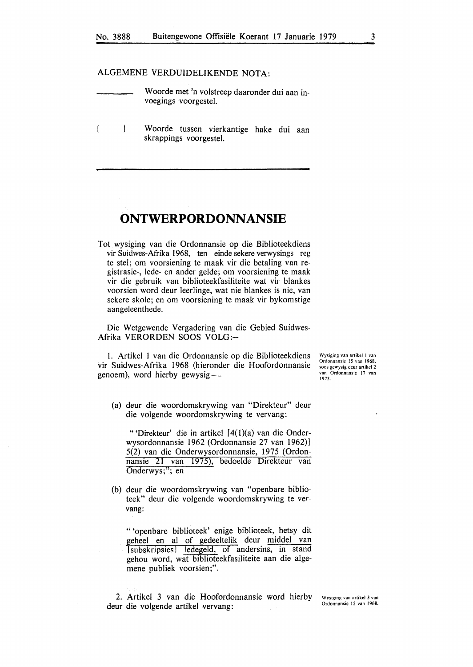#### ALGEMENE VERDUIDELIKENDE NOTA:

 $\overline{1}$ 

| Woorde met 'n volstreep daaronder dui aan in- |
|-----------------------------------------------|
| voegings voorgestel.                          |
|                                               |

 $\overline{\phantom{a}}$ Woorde tussen vierkantige hake dui aan skrappings voorgestel.

## **ONTWERPORDONNANSIE**

Tot wysiging van die Ordonnansie op die Biblioteekdiens vir Suidwes-Afrika 1968, ten einde sekere verwysings reg te stel; om voorsiening te maak vir die betaling van registrasie-, lede- en ander gelde; om voorsiening te maak vir die gebruik van biblioteekfasiliteite wat vir blankes voorsien word deur leerlinge, wat nie blankes is nie, van sekere skole; en om voorsiening te maak vir bykomstige aangeleenthede.

Die Wetgewende Vergadering van die Gebied Suidwes-Afrika VERORDEN SOOS VOLG:-

I. Artikel I van die Ordonnansie op die Biblioteekdiens vir Suidwes-Afrika 1968 (hieronder die Hoofordonnansie genoem), word hierby gewysig-

Wysiging van artikel I van Ordonnansic 15 van 1968, soos gcwysig deur artikel 2 **van Ordonnansie 17 van**  1973.

(a) deur die woordomskrywing van "Direkteur" deur die volgende woordomskrywing te vervang:

"'Direkteur' die in artikel [ 4( l)(a) van die Onderwysordonnansie 1962 (Ordonnansie 27 van 1962)] 5(2) van die Onderwysordonnansie, 1975 (Ordonnansie 21 van 1975), bedoelde Direkteur van Onderwys;''; en

(b) deur die woordomskrywing van "openbare biblioteek" deur die volgende woordomskrywing te vervang:

" 'openbare biblioteek' enige biblioteek, hetsy dit geheel en al of gedeeltelik deur middel van [subskripsies] ledegeld, of andersins, in stand gehou word, wat biblioteekfasiliteite aan die algemene publiek voorsien;".

2. Artikel 3 van die Hoofordonnansie word hierby deur die volgende artikel vervang:

**Wysiging van artikel 3 van**  Ordonnansie 15 van 1968.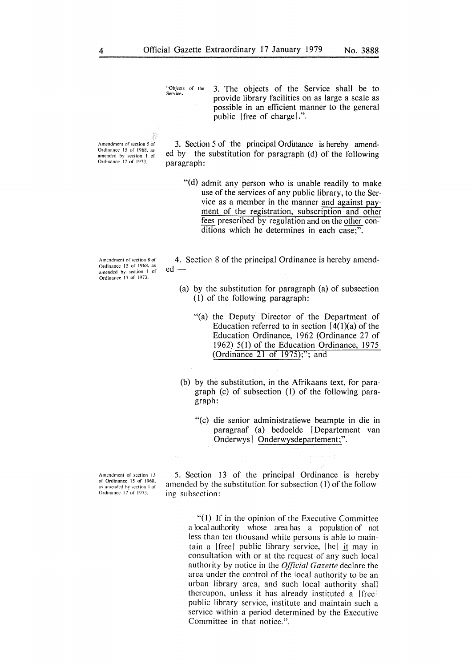"Objects of the 3. The objects of the Service shall be to provide library facilities on as large a scale as possible in an efficient manner to the general public !free of charge!.".

Amendment of section 5 of Ordinance 15 of 1968. as amended by section I of Ordinance 17 of 197>.

3. Section 5 of the principal Ordinance is hereby amended by the substitution for paragraph (d) of the following paragraph:

"(d) admit any person who is unable readily to make use of the services of any public library, to the Service as a member in the manner and against payment of the registration, subscription and other fees prescribed by regulation and on the other conditions which he determines in each case;".

Amendment of section 8 of Ordinance 15 of 1968, as amended by section 1 of Ordinance 17 of 1973.

4. Section 8 of the principal Ordinance is hereby amended -

- (a) by the substitution for paragraph (a) of subsection ( 1) of the following paragraph:
	- "(a) the Deputy Director of the Department of Education referred to in section  $[4(1)(a)$  of the Education Ordinance, 1962 (Ordinance 27 of 1962) 5(1) of the Education Ordinance, 1975 (Ordinance 21 of 1975);"; and
- (b) by the substitution, in the Afrikaans text, for paragraph (c) of subsection (1) of the following paragraph:
	- "(c) die senior administratiewe beampte in die in paragraaf (a) bedoelde [Departement van Onderwys | Onderwysdepartement;".

Amendment of section 13 of Ordinance 15 of 1968, s amended by section 1 of Ordinance 17 of 1973.

5. Section 13 of the principal Ordinance is hereby amended by the substitution for subsection (1) of the following subsection:

> "(I) If in the opinion of the Executive Committee a local authority whose area has a population of not less than ten thousand white persons is able to maintain a [free] public library service,  $|he|$  it may in consultation with or at the request of any such local authority by notice in the *Official Gazette* declare the area under the control of the local authority to be an urban library area, and such local authority shall thereupon, unless it has already instituted a [free] public library service, institute and maintain such a service within a period determined by the Executive Committee in that notice.".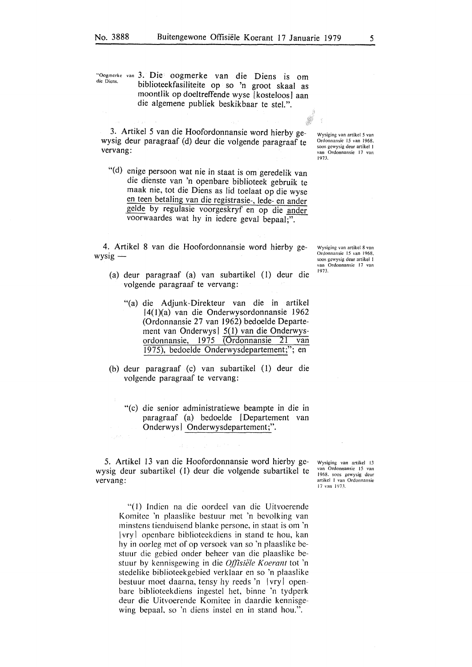biblioteekfasiliteite op so 'n groot skaal as moontlik op doeltreffende wyse [kosteloos] aan die algemene publiek beskikbaar te stel.".

3. Artikel 5 van die Hoofordonnansie word hierby gewysig deur paragraaf (d) deur die volgende paragraaf te vervang:

"(d) enige persoon wat nie in staat is om geredelik van die dienste van 'n openbare biblioteek gebruik te maak nie, tot die Diens as lid toelaat op die wyse en teen betaling van die registrasie-, lede- en ander gelde by regulasie voorgeskryf en op die ander voorwaardes wat hy in iedere geval bepaal;".

4. Artikel 8 van die Hoofordonnansie word hierby ge $wysig -$ 

- (a) deur paragraaf (a) van subartikel (1) deur die volgende paragraaf te vervang:
	- "(a) die Adjunk-Direkteur van die in artikel l4(I)(a) van die Onderwysordonnansie 1962 (Ordonnansie 27 van 1962) bedoelde Departement van Onderwys] 5( 1) van die Onderwysordonnansie, 1975 (Ordonnansie 21 van 1975), bedoelde Onderwysdepartement;"; en
- (b) deur paragraaf (c) van subartikel (1) deur die volgende paragraaf te vervang:
	- "(c) die senior administratiewe beampte in die in paragraaf (a) bedoelde I Departement van Onderwys] Onderwysdepartement;".

5. Artikel 13 van die Hoofordonnansie word hierby gewysig deur subartikel ( I) deur die volgende subartikel te vervang:

\Vysiging van artikel 13 van Ordonnansic 15 van 1968. soos gewysig dcur artikcl I van Ordonnansic 17 van 1973.

"( I) **Indien na die oordeel van. die Uitvoerende Komitee 'n plaaslike bestuur met 'n bevolking van minstens tienduisend blanke persone, in staat is om 'n**  I **vry** I **open bare biblioteekdiens in stand te hou, kan**  hy in **oorleg met of op versoek van so** 'n **plaaslike bestuur die gebied onder beheer van die plaaslike bestuur by kennisgewing in die** *Offisiële Koerant* **tot 'n stedelike biblioteekgebied verklaar en so 'n plaaslike bestuur moet daarna, tensy hy reeds 'n** [vry] open**bare biblioteekdiens ingestel het, binne 'n tydperk deur die Uitvoerende Komitee in daardie kennisgewing bepaal, so 'n diens instel en in stand hou.".** 

\Vysiging van artikel 8 van Ordonnansie 15 van 1968. soos gewysig deur artikel I van Ordonnansic 17 van 1973.

"Oogmerke van 3. Die oogmerke van die Diens is om

Wysiging van artikel *5* van Ordonnansie 15 van 1968. soos gcwysig deur artikel I

van Ordonnansic 17 van

1973.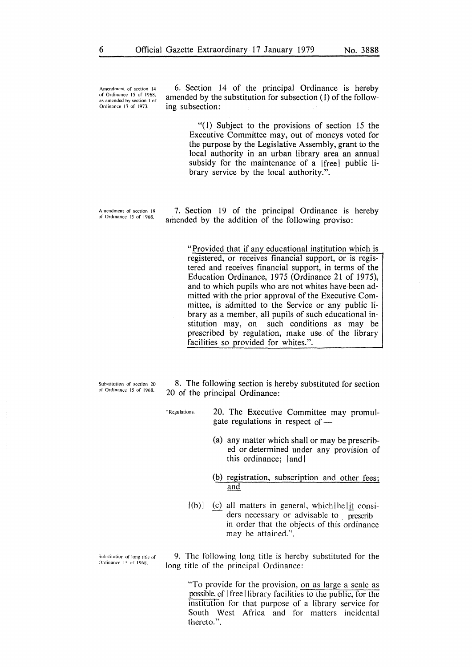Amendment of section 14 of Ordinance 15 of 1968 as amended by section I of Ordinance 17 of 1973.

6. Section 14 of the principal Ordinance is hereby amended by the substitution for subsection (1) of the following subsection:

> "(1) Subject to the provisions of section 15 the Executive Committee may, out of moneys voted for the purpose by the Legislative Assembly, grant to the local authority in an urban library area an annual subsidy for the maintenance of a [free] public library service by the local authority.".

Amendment of section 19 of Ordinance 15 of 1968.

7. Section 19 of the principal Ordinance is hereby amended by the addition of the following proviso:

> "Provided that if any educational institution which is registered, or receives financial support, or is registered and receives financial support, in terms of the Education Ordinance, 1975 (Ordinance 21 of 1975), and to which pupils who are not whites have been admitted with the prior approval of the Executive Committee, is admitted to the Service or any public library as a member, all pupils of such educational institution may, on such conditions as may be prescribed by regulation, make use of the library facilities so provided for whites.".

Substitution of section 20 of Ordinance 15 of 1968.

8. The following section is hereby substituted for section 20 of the principal Ordinance:

"Regulations. 20. The Executive Committee may promulgate regulations in respect of  $-$ 

- (a) any matter which shall or may be prescribed or determined under any provision of this ordinance;  $|$  and  $|$
- (b) registration, subscription and other fees; and
- $|(b)|$ (c) all matters in general, which  $\left| \right|$  considers necessary or advisable to prescrib in order that the objects of this ordinance may be attained.".

Substitution of long title of<br>Ordinance 15 of 1968.

9. The following long title is hereby substituted for the long title of the principal Ordinance:

> "To provide for the provision, on as large a scale as possible, of [ free I library facilities to the public, for the institution for that purpose of a library service for South West Africa and for matters incidental thereto.".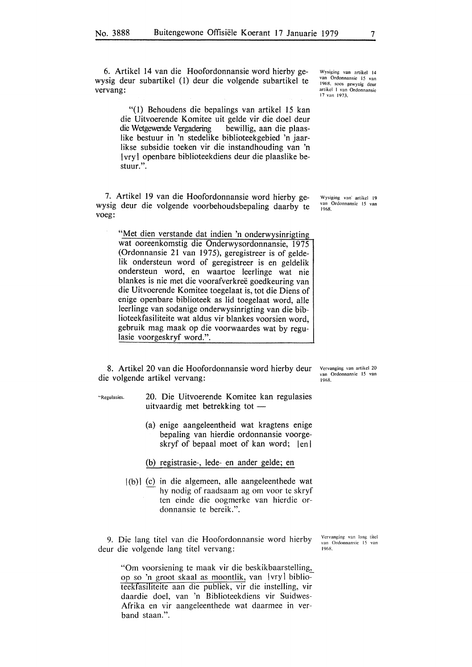6. Artikel 14 van die Hoofordonnansie word hierby gewysig deur subartikel (1) deur die volgende subartikel te vervang:

Wysiging van artikel 14 van Ordonnansic 15 van I 968. soos gcwysig deur artikcl I van Ordonnansic 17 van 1973.

"(1) Behoudens die bepalings van artikel 15 kan die Uitvoerende Komitee uit gelde vir die doel deur die Wetgewende Vergadering bewillig, aan die plaasbewillig, aan die plaaslike bestuur in 'n stedelike biblioteekgebied 'n jaarlikse subsidie toeken vir die instandhouding van 'n I vry I open bare biblioteekdiens deur die plaaslike bestuur.".

7. Artikel 19 van die Hoofordonnansie word hierby gewysig deur die volgende voorbehoudsbepaling daarby te voeg:

"Met dien verstande dat indien 'n onderwysinrigting wat ooreenkomstig die Onderwysordonnansie, 1975 (Ordonnansie 21 van 1975), geregistreer is of geldelik ondersteun word of geregistreer is en geldelik ondersteun word, en waartoe leerlinge wat nie blankes is nie met die voorafverkree goedkeuring van die Uitvoerende Komitee toegelaat is, tot die Diens of enige openbare biblioteek as lid toegelaat word, alle leerlinge van sodanige onderwysinrigting van die biblioteekfasiliteite wat aldus vir blankes voorsien word, gebruik mag maak op die voorwaardes wat by regulasie voorgeskryf word.".

8. Artikel 20 van die Hoofordonnansie word hierby deur die volgende artikel vervang:

"Rcgulasies. 20. Die Uitvoerende Komitee kan regulasies uitvaardig met betrekking tot -

- (a) enige aangeleentheid wat kragtens enige bepaling van hierdie ordonnansie voorgeskryf of bepaal moet of kan word;  $|en|$
- (b) registrasie-, lede- en ander gelde; en
- $|(b)|$  (c) in die algemeen, alle aangeleenthede wat hy nodig of raadsaam ag om voor te skryf ten einde die oogmerke van hierdie ordonnansie te bereik.".

**9. Die lang titel van die Hoofordonnansie word hierby deur die volgende lang titel vervang:** 

> "Om voorsiening te maak vir die beskikbaarstelling, **op so 'n groot skaal as moontlik, van |vry| biblioteekfasiliteite aan die publiek, vir die instelling, vir daardie doe!, van 'n Biblioteekdiens vir Suidwes-Afrika en vir aangeleenthede wat daarmee in ver**band staan.".

Vervanging van lang titel van Ordonnansie 15 van 1968.

Vcrvanging van artikel 20 van Ordonnansie 15 van 1968.

Wysiging van artikel 19 van Ordonnansic 15 van 1968.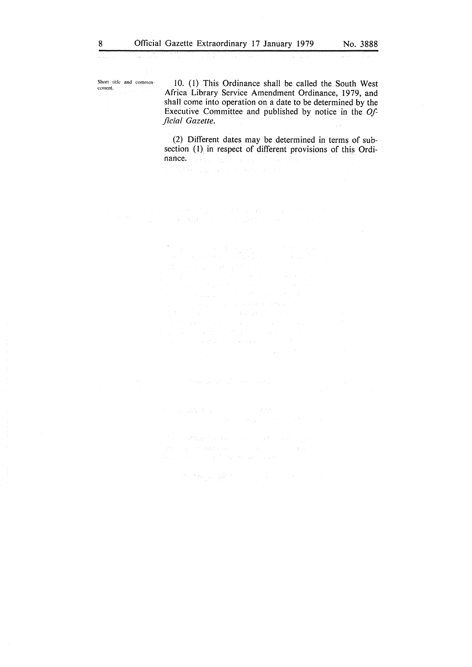Short title and commen-<br>cement.

and comment.  $10. (1)$  This Ordinance shall be called the South West Africa Library Service Amendment Ordinance, 1979, and shall come into operation on a date to be determined by the Executive Committee and published by notice in the *Official Gazette.* 

> (2) Different dates may be determined in terms of subsection (I) in respect of different provisions of this Ordinance. All property of the con-

and the condition of the control of the second complete

 $\label{eq:3.1} \mathcal{O}_{\mathcal{A}}(\mathcal{O}_{\mathcal{A}}(k, t_{\mathcal{B}})) \leq \mathcal{O}_{\mathcal{A}}(\mathcal{O}_{\mathcal{A}}(\mathcal{O}_{\mathcal{A}})) \leq \mathcal{O}_{\mathcal{A}}(\mathcal{O}_{\mathcal{A}}(\mathcal{O}_{\mathcal{A}})) \leq \mathcal{O}_{\mathcal{A}}(\mathcal{O}_{\mathcal{A}}(\mathcal{O}_{\mathcal{A}}))$ 

I.